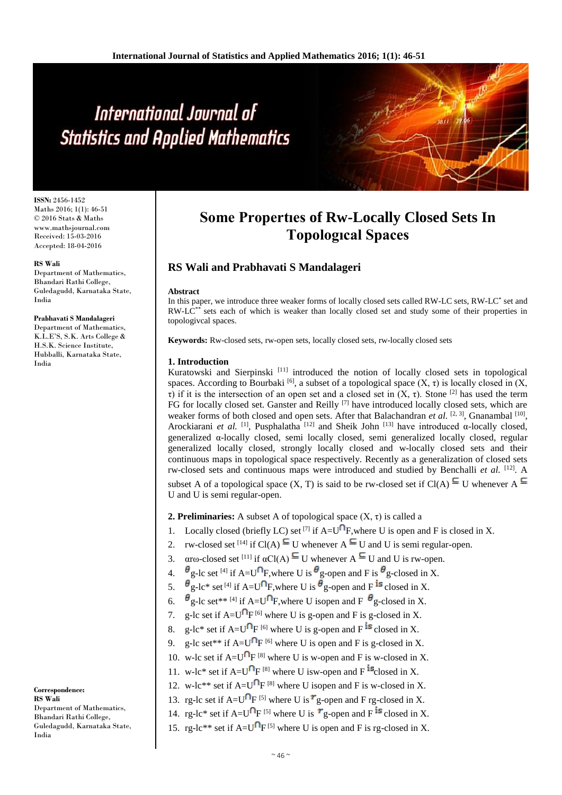# International Journal of **Statistics and Applied Mathematics**

**ISSN:** 2456-1452 Maths 2016; 1(1): 46-51 © 2016 Stats & Maths www.mathsjournal.com Received: 15-03-2016 Accepted: 18-04-2016

#### **RS Wali**

Department of Mathematics, Bhandari Rathi College, Guledagudd, Karnataka State, India

#### **Prabhavati S Mandalageri**

Department of Mathematics, K.L.E'S, S.K. Arts College & H.S.K. Science Institute, Hubballi, Karnataka State, India

**Correspondence: RS Wali** Department of Mathematics, Bhandari Rathi College, Guledagudd, Karnataka State, India

# **Some Propertıes of Rw-Locally Closed Sets In Topologıcal Spaces**

## **RS Wali and Prabhavati S Mandalageri**

#### **Abstract**

In this paper, we introduce three weaker forms of locally closed sets called RW-LC sets, RW-LC<sup>\*</sup> set and  $RW-LC<sup>**</sup>$  sets each of which is weaker than locally closed set and study some of their properties in topologivcal spaces.

**Keywords:** Rw-closed sets, rw-open sets, locally closed sets, rw-locally closed sets

#### **1. Introduction**

Kuratowski and Sierpinski [11] introduced the notion of locally closed sets in topological spaces. According to Bourbaki [6], a subset of a topological space  $(X, \tau)$  is locally closed in  $(X, \tau)$ τ) if it is the intersection of an open set and a closed set in  $(X, τ)$ . Stone <sup>[2]</sup> has used the term FG for locally closed set. Ganster and Reilly <sup>[7]</sup> have introduced locally closed sets, which are weaker forms of both closed and open sets. After that Balachandran *et al.* <sup>[2, 3]</sup>, Gnanambal<sup>[10]</sup>, Arockiarani *et al.* <sup>[1]</sup>, Pusphalatha<sup>[12]</sup> and Sheik John<sup>[13]</sup> have introduced α-locally closed, generalized α-locally closed, semi locally closed, semi generalized locally closed, regular generalized locally closed, strongly locally closed and w-locally closed sets and their continuous maps in topological space respectively. Recently as a generalization of closed sets rw-closed sets and continuous maps were introduced and studied by Benchalli *et al.* <sup>[12]</sup>. A subset A of a topological space  $(X, T)$  is said to be rw-closed set if  $Cl(A) \subseteq U$  whenever  $A \subseteq$ U and U is semi regular-open.

**2. Preliminaries:** A subset A of topological space  $(X, \tau)$  is called a

- 1. Locally closed (briefly LC) set <sup>[7]</sup> if  $A=U^{\cap}F$ , where U is open and F is closed in X.
- 2. rw-closed set <sup>[14]</sup> if Cl(A)  $\subseteq$  U whenever A  $\subseteq$  U and U is semi regular-open.
- 3.  $\alpha$  rω-closed set <sup>[11]</sup> if  $\alpha$ Cl(A)  $\subseteq$  U whenever A  $\subseteq$  U and U is rw-open.
- 4.  $\theta$  g-lc set <sup>[4]</sup> if A=U<sup>O</sup>F, where U is  $\theta$  g-open and F is  $\theta$  g-closed in X.
- 5.  $\theta_{\text{g-lc*}}^{\circ}$  set <sup>[4]</sup> if A=U<sup>O</sup>F, where U is  $\theta_{\text{g-open}}$  and F <sup>is</sup> closed in X.
- 6.  $\theta$  g-lc set\*\* [4] if A=U $\Omega$ F, where U isopen and F  $\theta$  g-closed in X.
- 7. g-lc set if  $A=U^{\dagger}F^{[6]}$  where U is g-open and F is g-closed in X.
- 8. g-lc\* set if  $A=U^{n}F^{[6]}$  where U is g-open and F <sup>is</sup> closed in X.
- 9. g-lc set\*\* if  $A=U^{n}F^{[6]}$  where U is open and F is g-closed in X.
- 10. w-lc set if  $A=U^{\mathsf{D}}F^{[8]}$  where U is w-open and F is w-closed in X.
- 11. w-lc\* set if  $A=U^{n}F^{8}$  where U isw-open and F <sup>is</sup>closed in X.
- 12. w-lc\*\* set if  $A=U^{\mathsf{T}}F^{[8]}$  where U isopen and F is w-closed in X.
- 13. rg-lc set if A= $U^{\cap}F^{[5]}$  where U is  $r_g$ -open and F rg-closed in X.
- 14. rg-lc\* set if A=U<sup> $\cap$ </sup>F<sup>[5]</sup> where U is  $r$ <sub>g-open</sub> and F<sup>is</sup> closed in X.
- 15. rg-lc\*\* set if  $A=U^{\dagger}F^{[5]}$  where U is open and F is rg-closed in X.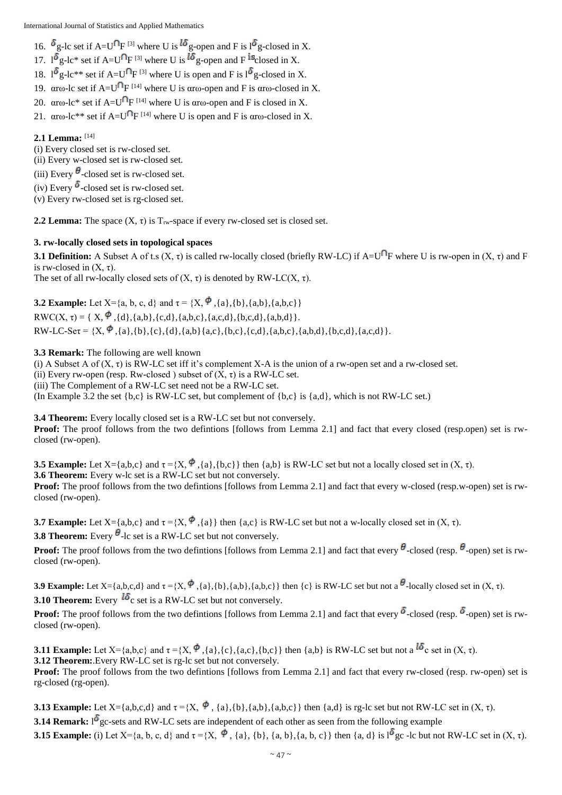International Journal of Statistics and Applied Mathematics

16.  $\delta$ g-lc set if A=U<sup>O</sup>F<sup>[3]</sup> where U is  $^{16}$ g-open and F is l<sup>6</sup>g-closed in X.

17.  $1^{\delta}$  g-lc\* set if A=U<sup> $\cap$ </sup>F <sup>[3]</sup> where U is  $^{\delta}$  g-open and F <sup>is</sup>closed in X.

- 18.  $1^{\circ}$  g-lc\*\* set if A=U<sup> $\cap$ </sup>F<sup>[3]</sup> where U is open and F is  $1^{\circ}$  g-closed in X.
- 19.  $\alpha$ rω-lc set if A=U<sup>[1</sup>F<sup>[14]</sup> where U is  $\alpha$ rω-open and F is  $\alpha$ rω-closed in X.
- 20.  $\alpha$  rω-lc\* set if A=U<sup>(1</sup>F<sup>[14]</sup> where U is  $\alpha$  rω-open and F is closed in X.
- 21.  $\alpha$ rω-lc\*\* set if A=U<sup>[1</sup>F<sup>[14]</sup> where U is open and F is  $\alpha$ rω-closed in X.

### **2.1 Lemma:** [14]

(i) Every closed set is rw-closed set.

(ii) Every w-closed set is rw-closed set.

(iii) Every  $\theta$ -closed set is rw-closed set.

(iv) Every  $\delta$ -closed set is rw-closed set.

(v) Every rw-closed set is rg-closed set.

**2.2 Lemma:** The space  $(X, \tau)$  is  $T_{rw}$ -space if every rw-closed set is closed set.

#### **3. rw-locally closed sets in topological spaces**

**3.1 Definition:** A Subset A of t.s  $(X, \tau)$  is called rw-locally closed (briefly RW-LC) if A=U<sup>O</sup>F where U is rw-open in  $(X, \tau)$  and F is rw-closed in  $(X, \tau)$ . The set of all rw-locally closed sets of  $(X, \tau)$  is denoted by RW-LC $(X, \tau)$ .

**3.2 Example:** Let  $X = \{a, b, c, d\}$  and  $\tau = \{X, \phi\}$ ,  $\{a\}$ ,  $\{b\}$ ,  $\{a,b\}$ ,  $\{a,b,c\}$  $RWC(X, \tau) = \{ X, \phi, \{d\}, \{a,b\}, \{c,d\}, \{a,c,d\}, \{b,c,d\}, \{a,b,d\} \}.$ 

 $RW-LC-Set = \{X, \stackrel{\phi}{\rightarrow} \{a\},\{b\},\{c\},\{d\},\{a,b\}\{a,c\},\{b,c\},\{c,d\},\{a,b,c\},\{a,b,d\},\{b,c,d\},\{a,c,d\}\}.$ 

#### **3.3 Remark:** The following are well known

(i) A Subset A of  $(X, \tau)$  is RW-LC set iff it's complement X-A is the union of a rw-open set and a rw-closed set.

(ii) Every rw-open (resp. Rw-closed) subset of  $(X, \tau)$  is a RW-LC set.

(iii) The Complement of a RW-LC set need not be a RW-LC set.

(In Example 3.2 the set  ${b,c}$  is RW-LC set, but complement of  ${b,c}$  is  ${a,d}$ , which is not RW-LC set.)

**3.4 Theorem:** Every locally closed set is a RW-LC set but not conversely.

Proof: The proof follows from the two defintions [follows from Lemma 2.1] and fact that every closed (resp.open) set is rwclosed (rw-open).

**3.5 Example:** Let  $X = \{a,b,c\}$  and  $\tau = \{X, \Phi, \{a\}, \{b,c\}\}\$  then  $\{a,b\}$  is RW-LC set but not a locally closed set in  $(X, \tau)$ . **3.6 Theorem:** Every w-lc set is a RW-LC set but not conversely. **Proof:** The proof follows from the two defintions [follows from Lemma 2.1] and fact that every w-closed (resp.w-open) set is rwclosed (rw-open).

**3.7 Example:** Let  $X = \{a,b,c\}$  and  $\tau = \{X, \Phi\}$ ,  $\{a\}$  then  $\{a,c\}$  is RW-LC set but not a w-locally closed set in  $(X, \tau)$ .

**3.8 Theorem:** Every  $\theta$ -lc set is a RW-LC set but not conversely.

**Proof:** The proof follows from the two defintions [follows from Lemma 2.1] and fact that every  $\theta$ -closed (resp.  $\theta$ -open) set is rwclosed (rw-open).

**3.9 Example:** Let X={a,b,c,d} and  $\tau = \{X, \Phi\}$ ,{a},{b},{a,b},{a,b,c}} then {c} is RW-LC set but not a  $\theta$ -locally closed set in (X,  $\tau$ ).

**3.10 Theorem:** Every  $^{16}$ c set is a RW-LC set but not conversely.

**Proof:** The proof follows from the two defintions [follows from Lemma 2.1] and fact that every  $\delta$ -closed (resp.  $\delta$ -open) set is rwclosed (rw-open).

**3.11 Example:** Let  $X = \{a,b,c\}$  and  $\tau = \{X, \phi, \{a\}, \{c\}, \{a,c\}, \{b,c\}\}\$  then  $\{a,b\}$  is RW-LC set but not a  $\phi$  set in  $(X, \tau)$ . **3.12 Theorem:**.Every RW-LC set is rg-lc set but not conversely. **Proof:** The proof follows from the two defintions [follows from Lemma 2.1] and fact that every rw-closed (resp. rw-open) set is

rg-closed (rg-open).

**3.13 Example:** Let  $X = \{a,b,c,d\}$  and  $\tau = \{X, \phi, \{a\}, \{b\}, \{a,b\}, \{a,b,c\}\}\$  then  $\{a,d\}$  is rg-lc set but not RW-LC set in  $(X, \tau)$ . **3.14 Remark:**  $\mathbf{1}^{\delta}$  gc-sets and RW-LC sets are independent of each other as seen from the following example **3.15 Example:** (i) Let  $X = \{a, b, c, d\}$  and  $\tau = \{X, \Phi\}$ ,  $\{a\}$ ,  $\{b\}$ ,  $\{a, b\}$ ,  $\{a, b, c\}$  then  $\{a, d\}$  is  $I^{\delta}$  gc -lc but not RW-LC set in  $(X, \tau)$ .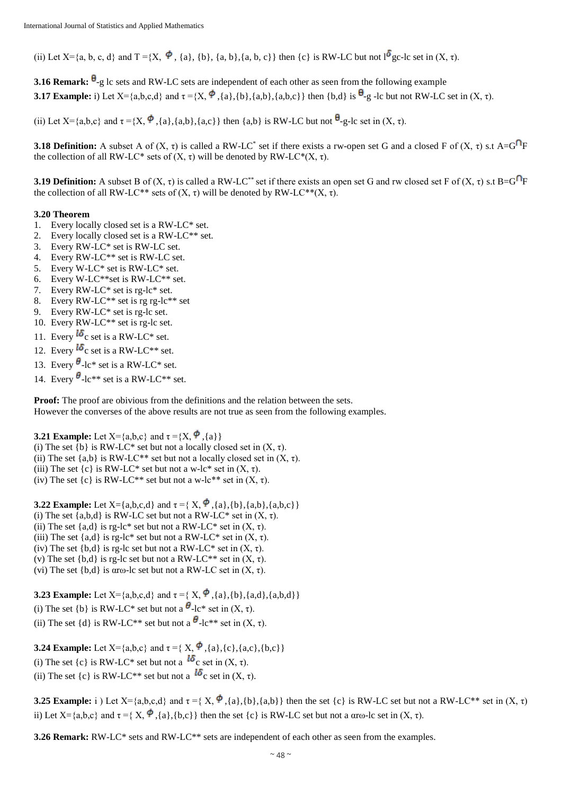(ii) Let  $X = \{a, b, c, d\}$  and  $T = \{X, \Phi, \{a\}, \{b\}, \{a, b\}, \{a, b, c\}\}$  then  $\{c\}$  is RW-LC but not  $1^{\delta}$  gc-lc set in  $(X, \tau)$ .

**3.16 Remark:**  $\theta$ -g lc sets and RW-LC sets are independent of each other as seen from the following example **3.17 Example:** i) Let  $X = \{a,b,c,d\}$  and  $\tau = \{X, \phi, \{a\}, \{b\}, \{a,b\}, \{a,b,c\}\}\$  then  $\{b,d\}$  is  $\theta_{-g}$  -lc but not RW-LC set in  $(X, \tau)$ .

(ii) Let  $X = \{a,b,c\}$  and  $\tau = \{X, \phi\}$ ,  $\{a\}, \{a,b\}$ ,  $\{a,c\}$  then  $\{a,b\}$  is RW-LC but not  $\theta$ -g-lc set in  $(X, \tau)$ .

**3.18 Definition:** A subset A of  $(X, \tau)$  is called a RW-LC<sup>\*</sup> set if there exists a rw-open set G and a closed F of  $(X, \tau)$  s.t A=G<sup>n</sup>F the collection of all RW-LC\* sets of  $(X, τ)$  will be denoted by RW-LC\* $(X, τ)$ .

**3.19 Definition:** A subset B of  $(X, \tau)$  is called a RW-LC<sup>\*\*</sup> set if there exists an open set G and rw closed set F of  $(X, \tau)$  s.t B=G<sup>n</sup>F the collection of all RW-LC<sup>\*\*</sup> sets of  $(X, τ)$  will be denoted by RW-LC<sup>\*\*</sup> $(X, τ)$ .

#### **3.20 Theorem**

- 1. Every locally closed set is a RW-LC\* set.
- 2. Every locally closed set is a RW-LC\*\* set.
- 3. Every RW-LC\* set is RW-LC set.
- 4. Every RW-LC\*\* set is RW-LC set.
- 5. Every W-LC\* set is RW-LC\* set.
- 6. Every W-LC\*\*set is RW-LC\*\* set.
- 7. Every RW-LC\* set is rg-lc\* set.
- 8. Every RW-LC\*\* set is rg rg-lc\*\* set
- 9. Every RW-LC\* set is rg-lc set.
- 10. Every RW-LC\*\* set is rg-lc set.
- 11. Every  $^{16}$ c set is a RW-LC\* set.
- 12. Every  $^{16}$ c set is a RW-LC<sup>\*\*</sup> set.
- 13. Every  $\theta$ -lc\* set is a RW-LC\* set.
- 14. Every  $\theta$ -lc\*\* set is a RW-LC\*\* set.

**Proof:** The proof are obivious from the definitions and the relation between the sets. However the converses of the above results are not true as seen from the following examples.

**3.21 Example:** Let  $X = \{a,b,c\}$  and  $\tau = \{X, \phi\}$ ,  $\{a\}\}\$ (i) The set  $\{b\}$  is RW-LC\* set but not a locally closed set in  $(X, \tau)$ . (ii) The set  $\{a,b\}$  is RW-LC<sup>\*\*</sup> set but not a locally closed set in  $(X, \tau)$ . (iii) The set  $\{c\}$  is RW-LC\* set but not a w-lc\* set in  $(X, \tau)$ . (iv) The set  $\{c\}$  is RW-LC<sup>\*\*</sup> set but not a w-lc<sup>\*\*</sup> set in  $(X, \tau)$ .

**3.22 Example:** Let  $X = \{a,b,c,d\}$  and  $\tau = \{X, \overset{\blacklozenge}{\bullet}, \{a\}, \{b\}, \{a,b\}, \{a,b,c\}\}\$ (i) The set  ${a,b,d}$  is RW-LC set but not a RW-LC\* set in  $(X, \tau)$ . (ii) The set  ${a,d}$  is rg-lc\* set but not a RW-LC\* set in  $(X, \tau)$ . (iii) The set  ${a,d}$  is rg-lc\* set but not a RW-LC\* set in  $(X, \tau)$ . (iv) The set  ${b,d}$  is rg-lc set but not a RW-LC\* set in  $(X, \tau)$ . (v) The set  $\{b,d\}$  is rg-lc set but not a RW-LC<sup>\*\*</sup> set in  $(X, \tau)$ . (vi) The set  ${b,d}$  is aro-lc set but not a RW-LC set in  $(X, \tau)$ .

**3.23 Example:** Let  $X = \{a,b,c,d\}$  and  $\tau = \{X, \phi\}$ ,  $\{a\}, \{b\}, \{a,d\}, \{a,b,d\}$ (i) The set {b} is RW-LC\* set but not a  $\theta$ -lc\* set in  $(X, \tau)$ . (ii) The set {d} is RW-LC<sup>\*\*</sup> set but not a  $\theta$ -lc<sup>\*\*</sup> set in  $(X, \tau)$ .

**3.24 Example:** Let  $X = \{a,b,c\}$  and  $\tau = \{X, \phi\}$ ,  $\{a\}, \{c\}, \{a,c\}, \{b,c\}\}\$ (i) The set  $\{c\}$  is RW-LC\* set but not a  $\mathbf{16}_c$  set in  $(X, \tau)$ . (ii) The set  $\{c\}$  is RW-LC<sup>\*\*</sup> set but not a  $^{16}$ c set in (X, τ).

**3.25 Example:** i ) Let  $X = \{a,b,c,d\}$  and  $\tau = \{X, \Phi, \{a\}, \{b\}, \{a,b\}\}\$  then the set  $\{c\}$  is RW-LC set but not a RW-LC\*\* set in  $(X, \tau)$ ii) Let  $X = \{a,b,c\}$  and  $\tau = \{X, \phi\}$ ,  $\{a\}$ ,  $\{b,c\}$  then the set  $\{c\}$  is RW-LC set but not a αrω-lc set in  $(X, \tau)$ .

**3.26 Remark:** RW-LC\* sets and RW-LC\*\* sets are independent of each other as seen from the examples.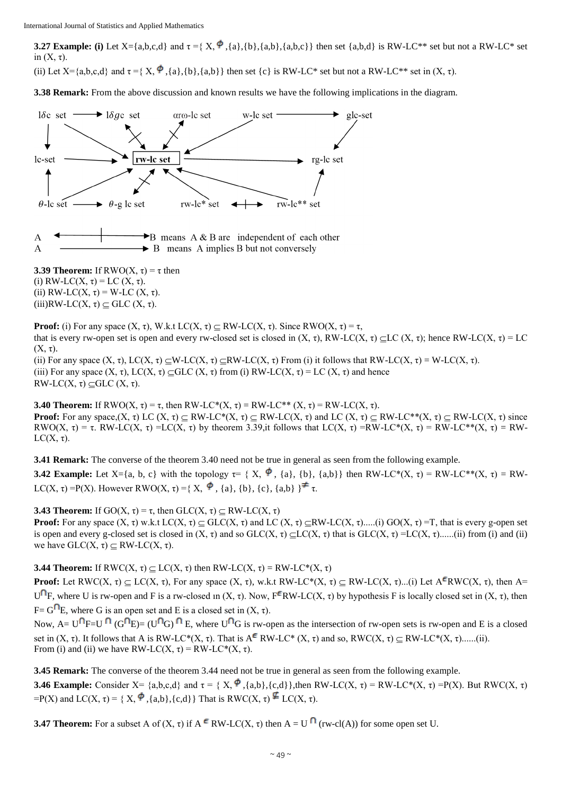**3.27 Example:** (i) Let X={a,b,c,d} and  $\tau = \{X, \Phi\}$ ,{a},{b},{a,b},{a,b,c}} then set {a,b,d} is RW-LC<sup>\*\*</sup> set but not a RW-LC<sup>\*</sup> set in  $(X, \tau)$ .

(ii) Let  $X = \{a,b,c,d\}$  and  $\tau = \{X, \phi\}$ ,  $\{a\}, \{b\}, \{a,b\}\}\$  then set  $\{c\}$  is RW-LC\* set but not a RW-LC\*\* set in  $(X, \tau)$ .

**3.38 Remark:** From the above discussion and known results we have the following implications in the diagram.



**3.39 Theorem:** If  $RWO(X, \tau) = \tau$  then (i) RW-LC(X,  $\tau$ ) = LC (X,  $\tau$ ). (ii)  $RW-LC(X, \tau) = W-LC(X, \tau)$ . (iii)RW-LC(X,  $\tau$ )  $\subseteq$  GLC (X,  $\tau$ ).

**Proof:** (i) For any space  $(X, \tau)$ , W.k.t LC $(X, \tau)$   $\subset$  RW-LC $(X, \tau)$ . Since RWO $(X, \tau) = \tau$ , that is every rw-open set is open and every rw-closed set is closed in  $(X, τ)$ , RW-LC $(X, τ)$  CLC $(X, τ)$ ; hence RW-LC $(X, τ) = LC$  $(X, \tau)$ .

(ii) For any space  $(X, \tau)$ , LC $(X, \tau) \subset W$ -LC $(X, \tau) \subset RW$ -LC $(X, \tau)$  From (i) it follows that RW-LC $(X, \tau) = W$ -LC $(X, \tau)$ . (iii) For any space  $(X, \tau)$ , LC $(X, \tau) \subseteq GLC(X, \tau)$  from (i) RW-LC $(X, \tau) = LC(X, \tau)$  and hence RW-LC(X, τ)  $\subseteq$ GLC (X, τ).

**3.40 Theorem:** If  $RWO(X, \tau) = \tau$ , then  $RW-LC^*(X, \tau) = RW-LC^{**}(X, \tau) = RW-LC(X, \tau)$ . **Proof:** For any space, $(X, \tau)$  LC  $(X, \tau)$   $\subseteq$  RW-LC\* $(X, \tau)$   $\subseteq$  RW-LC $(X, \tau)$  and LC  $(X, \tau)$   $\subseteq$  RW-LC\*\* $(X, \tau)$   $\subseteq$  RW-LC $(X, \tau)$  since RWO(X,  $\tau$ ) =  $\tau$ . RW-LC(X,  $\tau$ ) =LC(X,  $\tau$ ) by theorem 3.39,it follows that LC(X,  $\tau$ ) =RW-LC\*(X,  $\tau$ ) = RW-LC\*\*(X,  $\tau$ ) = RW- $LC(X, \tau)$ .

**3.41 Remark:** The converse of the theorem 3.40 need not be true in general as seen from the following example.

**3.42 Example:** Let  $X = \{a, b, c\}$  with the topology  $\tau = \{X, \phi\}$ ,  $\{a\}, \{b\}$ ,  $\{a,b\}$  then RW-LC\*(X,  $\tau$ ) = RW-LC\*\*(X,  $\tau$ ) = RW-LC(X, τ) = P(X). However RWO(X, τ) = { X,  $\phi$ , {a}, {b}, {c}, {a,b} }  $\neq$  τ.

**3.43 Theorem:** If GO(X,  $\tau$ ) =  $\tau$ , then GLC(X,  $\tau$ )  $\subseteq$  RW-LC(X,  $\tau$ )

**Proof:** For any space  $(X, \tau)$  w.k.t  $LC(X, \tau)$   $\subset$  GLC $(X, \tau)$  and  $LC(X, \tau)$   $\subset$ RW-LC $(X, \tau)$ ....(i) GO $(X, \tau)$  =T, that is every g-open set is open and every g-closed set is closed in  $(X, \tau)$  and so GLC $(X, \tau) \subset LC(X, \tau)$  that is GLC $(X, \tau) = LC(X, \tau)$ ......(ii) from (i) and (ii) we have  $GLC(X, τ) \subset RW-LC(X, τ)$ .

**3.44 Theorem:** If  $RWC(X, \tau) \subseteq LC(X, \tau)$  then  $RW-LC(X, \tau) = RW-LC^*(X, \tau)$ 

**Proof:** Let RWC(X,  $\tau$ )  $\subset$  LC(X,  $\tau$ ), For any space (X,  $\tau$ ), w.k.t RW-LC\*(X,  $\tau$ )  $\subset$  RW-LC(X,  $\tau$ )...(i) Let A<sup> $\epsilon$ </sup>RWC(X,  $\tau$ ), then A= U<sup>O</sup>F, where U is rw-open and F is a rw-closed in (X, τ). Now, F<sup>E</sup>RW-LC(X, τ) by hypothesis F is locally closed set in (X, τ), then F=  $G^{\cap}E$ , where G is an open set and E is a closed set in  $(X, \tau)$ .

Now,  $A= U^{\cap}F=U^{\cap}$   $(G^{\cap}E) = (U^{\cap}G)^{\cap}E$ , where  $U^{\cap}G$  is rw-open as the intersection of rw-open sets is rw-open and E is a closed set in  $(X, \tau)$ . It follows that A is RW-LC\* $(X, \tau)$ . That is  $A^{\epsilon}$  RW-LC\* $(X, \tau)$  and so, RWC $(X, \tau) \subset RW$ -LC\* $(X, \tau)$ ......(ii). From (i) and (ii) we have RW-LC(X,  $\tau$ ) = RW-LC\*(X,  $\tau$ ).

**3.45 Remark:** The converse of the theorem 3.44 need not be true in general as seen from the following example. **3.46 Example:** Consider X= {a,b,c,d} and  $\tau = \{X, \phi\}$ , {a,b}, {c,d}},then RW-LC(X,  $\tau$ ) = RW-LC\*(X,  $\tau$ ) = P(X). But RWC(X,  $\tau$ )  $=P(X)$  and  $LC(X, \tau) = \{X, \phi\}$ , {a,b}, {c,d}} That is RWC(X,  $\tau$ )  $\phi$  LC(X,  $\tau$ ).

**3.47 Theorem:** For a subset A of  $(X, \tau)$  if  $A^c$  RW-LC $(X, \tau)$  then  $A = U^{\cap}$  (rw-cl $(A)$ ) for some open set U.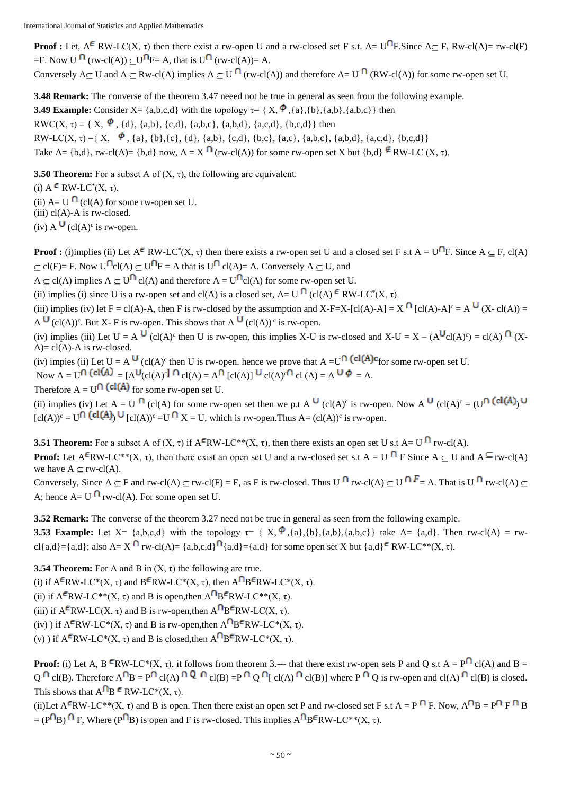**Proof :** Let,  $A^{\epsilon}$  RW-LC(X,  $\tau$ ) then there exist a rw-open U and a rw-closed set F s.t. A= U<sup>n</sup>F. Since A 
g F, Rw-cl(A) = rw-cl(F)  $=$ F. Now U  $\bigcap$  (rw-cl(A))  $\subset$ U $\bigcap$ F= A, that is U $\bigcap$  (rw-cl(A))= A.

Conversely  $A \subseteq U$  and  $A \subseteq Rw$ -cl(A) implies  $A \subseteq U \cap (rw$ -cl(A)) and therefore  $A = U \cap (RW$ -cl(A)) for some rw-open set U.

**3.48 Remark:** The converse of the theorem 3.47 neeed not be true in general as seen from the following example. **3.49 Example:** Consider  $X = \{a,b,c,d\}$  with the topology  $\tau = \{X, \phi\}$ , $\{a\}, \{b\}$ , $\{a,b\}$ , $\{a,b,c\}$  then RWC(X,  $\tau$ ) = { X,  $\phi$ , {d}, {a,b}, {c,d}, {a,b,c}, {a,b,d}, {a,c,d}, {b,c,d}} then RW-LC(X,  $\tau$ ) ={ X,  $\phi$ , {a}, {b}, {c}, {d}, {a,b}, {c,d}, {b,c}, {a,c}, {a,b,c}, {a,b,d}, {a,c,d}, {b,c,d}} Take A=  $\{b,d\}$ , rw-cl(A)=  $\{b,d\}$  now, A = X  $\bigcap$  (rw-cl(A)) for some rw-open set X but  $\{b,d\} \notin RW$ -LC (X,  $\tau$ ).

**3.50 Theorem:** For a subset A of  $(X, \tau)$ , the following are equivalent.

(i)  $A \in RW\text{-}LC^*(X, \tau)$ .

(ii)  $A=U \bigcap (cl(A)$  for some rw-open set U.

 $(iii)$  cl(A)-A is rw-closed.

 $(iv)$  A  $\bigcup$   $(cl(A)^c$  is rw-open.

**Proof :** (i)implies (ii) Let  $A^{\epsilon}$  RW-LC<sup>\*</sup>(X,  $\tau$ ) then there exists a rw-open set U and a closed set F s.t  $A = U^{\dagger}F$ . Since  $A \subseteq F$ , cl(A)  $\subset$  cl(F)= F. Now U<sup>O</sup> cl(A)  $\subset$  U<sup>O</sup> F = A that is U<sup>O</sup> cl(A)= A. Conversely A  $\subset$  U, and

 $A \subset cl(A)$  implies  $A \subset U^{\cap} cl(A)$  and therefore  $A = U^{\cap} cl(A)$  for some rw-open set U.

(ii) implies (i) since U is a rw-open set and cl(A) is a closed set,  $A = U$ <sup>[1</sup>] (cl(A)  $\epsilon$  RW-LC<sup>\*</sup>(X,  $\tau$ ).

(iii) implies (iv) let F = cl(A)-A, then F is rw-closed by the assumption and X-F=X-[cl(A)-A] = X  $\bigcap$  [cl(A)-A]<sup>c</sup> = A  $\bigcup$  (X- cl(A)) = A  $\bigcup$  (cl(A))<sup>c</sup>. But X- F is rw-open. This shows that A  $\bigcup$  (cl(A))<sup>c</sup> is rw-open.

(iv) implies (iii) Let  $U = A^U$  (cl(A)<sup>c</sup> then U is rw-open, this implies X-U is rw-closed and X-U = X – ( $A^U c l(A)^c$ ) = cl(A)<sup>f</sup> (X- $A$ )= cl(A)-A is rw-closed.

(iv) impies (ii) Let  $U = A^{\mathsf{U}}$  (cl(A)<sup>c</sup> then U is rw-open. hence we prove that  $A = U^{\mathsf{U}}$  (cl(A)<sup>c</sup>for some rw-open set U.

Now  $A = U^{[1]}$  (cl(A) =  $[A^{\bigcup}(cl(A)^{c}]^{[1]}$  cl(A) =  $A^{[1]}$  [cl(A)]  $\bigcup^{\bigcup} cl(A)^{c[1]}$  cl(A) =  $A^{\bigcup} \mathcal{P} = A$ .

Therefore  $A = U^{\cap}$  (cl(A) for some rw-open set U.

(ii) implies (iv) Let  $A = U^{-1}$  (cl(A) for some rw-open set then we p.t  $A^{\cup}$  (cl(A)<sup>c</sup> is rw-open. Now  $A^{\cup}$  (cl(A)<sup>c</sup> = (U<sup>\</sup> (cl(A)<sup>c</sup>)  $[cl(A))^{c} = U^{[1]}(cl(A))^{c}$   $\cup$   $[cl(A))^{c} = U^{[1]}X = U$ , which is rw-open. Thus A=  $(cl(A))^{c}$  is rw-open.

**3.51 <b>Theorem:** For a subset A of  $(X, \tau)$  if  $A^{\epsilon}RW \text{-} LC^{**}(X, \tau)$ , then there exists an open set U s.t  $A = U^{\epsilon}$  rw-cl(A). **Proof:** Let  $A^{\epsilon}RW\text{-}LC^{**}(X, \tau)$ , then there exist an open set U and a rw-closed set s.t  $A = U^{\epsilon}$  **F** Since  $A \subseteq U$  and  $A^{\epsilon}$ rw-cl(A) we have  $A \subseteq rw\text{-}cl(A)$ .

Conversely, Since  $A \subset F$  and rw-cl(A)  $\subset$  rw-cl(F) = F, as F is rw-closed. Thus U  $\bigcap F$  rw-cl(A)  $\subset$  U  $\bigcap F$  = A. That is U  $\bigcap F$  rw-cl(A)  $\subset$ A; hence  $A = U \cap rw-cl(A)$ . For some open set U.

**3.52 Remark:** The converse of the theorem 3.27 need not be true in general as seen from the following example.

**3.53 Example:** Let  $X = \{a,b,c,d\}$  with the topology  $\tau = \{X, \phi\}$ , $\{a\}, \{b\}, \{a,b,c\}\}\$  take  $A = \{a,d\}$ . Then rw-cl(A) = rwcl{a,d}={a,d}; also A=  $X^{\mathsf{n}}$  rw-cl(A)= {a,b,c,d}  $\mathsf{a}_i$ {a,d}={a,d} for some open set X but {a,d}  $\in \mathbb{R}$ W-LC\*\*(X,  $\tau$ ).

**3.54 Theorem:** For A and B in  $(X, \tau)$  the following are true.

(i) if  $A^{\epsilon}RW\text{-}LC^*(X, \tau)$  and  $B^{\epsilon}RW\text{-}LC^*(X, \tau)$ , then  $A^{\epsilon}BW\text{-}LC^*(X, \tau)$ .

(ii) if  $A^{\epsilon}RW\text{-}LC^{**}(X, \tau)$  and B is open, then  $A^{\epsilon}BFW\text{-}LC^{**}(X, \tau)$ .

(iii) if  $A^F R W - LC(X, \tau)$  and B is rw-open, then  $A^{\cap} B^F R W - LC(X, \tau)$ .

(iv) ) if  $A^F R W - LC^*(X, \tau)$  and B is rw-open, then  $A^{\cap} B^F R W - LC^*(X, \tau)$ .

(v) ) if  $A^{\epsilon}RW\text{-}LC^{*}(X,\tau)$  and B is closed, then  $A^{\epsilon}BFW\text{-}LC^{*}(X,\tau)$ .

**Proof:** (i) Let A, B <sup> $\epsilon$ </sup>RW-LC<sup>\*</sup>(X,  $\tau$ ), it follows from theorem 3.--- that there exist rw-open sets P and Q s.t A = P<sup> $\cap$ </sup> cl(A) and B =  $Q \cap C(G)$ . Therefore  $A \cap B = P \cap C(A) \cap Q \cap C(G) = P \cap Q \cap C(G) \cap C(G)$  where P  $\cap$  Q is rw-open and cl(A)  $\cap C(G)$  is closed. This shows that  $A^{\nabla}B \in RW-LC^*(X, \tau)$ .

(ii)Let  $A^{\epsilon}RW\text{-}LC^{**}(X,\tau)$  and B is open. Then there exist an open set P and rw-closed set F s.t  $A = P^{\epsilon}FRW\text{-}LC^{**}(X,\tau)$  and B is open. Then there exist an open set P and rw-closed set F s.t  $A = P^{\epsilon}FRW\text{-}LC^{**}(X,\tau)$  $= (P^{\cap}B)$  F, Where (P $^{\cap}B$ ) is open and F is rw-closed. This implies  $A^{\cap}B^{\epsilon}RW \cdot LC^{*}(X, \tau)$ .